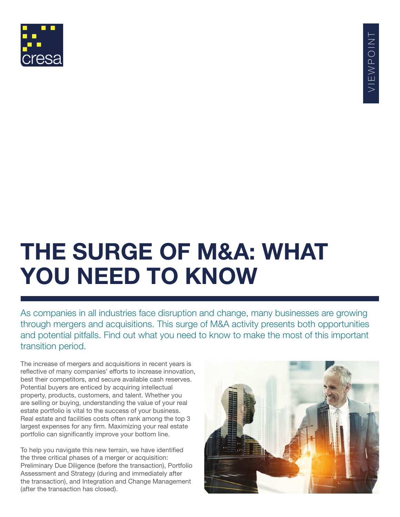

# **THE SURGE OF M&A: WHAT YOU NEED TO KNOW**

As companies in all industries face disruption and change, many businesses are growing through mergers and acquisitions. This surge of M&A activity presents both opportunities and potential pitfalls. Find out what you need to know to make the most of this important transition period.

The increase of mergers and acquisitions in recent years is reflective of many companies' efforts to increase innovation, best their competitors, and secure available cash reserves. Potential buyers are enticed by acquiring intellectual property, products, customers, and talent. Whether you are selling or buying, understanding the value of your real estate portfolio is vital to the success of your business. Real estate and facilities costs often rank among the top 3 largest expenses for any firm. Maximizing your real estate portfolio can significantly improve your bottom line.

To help you navigate this new terrain, we have identified the three critical phases of a merger or acquisition: Preliminary Due Diligence (before the transaction), Portfolio Assessment and Strategy (during and immediately after the transaction), and Integration and Change Management (after the transaction has closed).

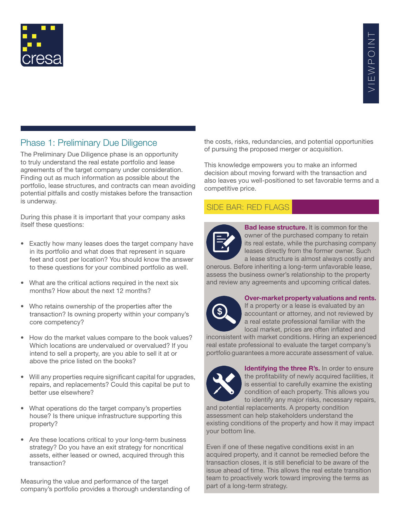

#### Phase 1: Preliminary Due Diligence

The Preliminary Due Diligence phase is an opportunity to truly understand the real estate portfolio and lease agreements of the target company under consideration. Finding out as much information as possible about the portfolio, lease structures, and contracts can mean avoiding potential pitfalls and costly mistakes before the transaction is underway.

During this phase it is important that your company asks itself these questions:

- Exactly how many leases does the target company have in its portfolio and what does that represent in square feet and cost per location? You should know the answer to these questions for your combined portfolio as well.
- What are the critical actions required in the next six months? How about the next 12 months?
- Who retains ownership of the properties after the transaction? Is owning property within your company's core competency?
- How do the market values compare to the book values? Which locations are undervalued or overvalued? If you intend to sell a property, are you able to sell it at or above the price listed on the books?
- Will any properties require significant capital for upgrades, repairs, and replacements? Could this capital be put to better use elsewhere?
- What operations do the target company's properties house? Is there unique infrastructure supporting this property?
- Are these locations critical to your long-term business strategy? Do you have an exit strategy for noncritical assets, either leased or owned, acquired through this transaction?

Measuring the value and performance of the target company's portfolio provides a thorough understanding of the costs, risks, redundancies, and potential opportunities of pursuing the proposed merger or acquisition.

This knowledge empowers you to make an informed decision about moving forward with the transaction and also leaves you well-positioned to set favorable terms and a competitive price.

### SIDE BAR: RED FLAGS



**Bad lease structure.** It is common for the owner of the purchased company to retain its real estate, while the purchasing company leases directly from the former owner. Such a lease structure is almost always costly and

onerous. Before inheriting a long-term unfavorable lease, assess the business owner's relationship to the property and review any agreements and upcoming critical dates.



#### **Over-market property valuations and rents.**

If a property or a lease is evaluated by an accountant or attorney, and not reviewed by a real estate professional familiar with the local market, prices are often inflated and

inconsistent with market conditions. Hiring an experienced real estate professional to evaluate the target company's portfolio guarantees a more accurate assessment of value.



**Identifying the three R's.** In order to ensure the profitability of newly acquired facilities, it is essential to carefully examine the existing condition of each property. This allows you to identify any major risks, necessary repairs,

and potential replacements. A property condition assessment can help stakeholders understand the existing conditions of the property and how it may impact your bottom line.

Even if one of these negative conditions exist in an acquired property, and it cannot be remedied before the transaction closes, it is still beneficial to be aware of the issue ahead of time. This allows the real estate transition team to proactively work toward improving the terms as part of a long-term strategy.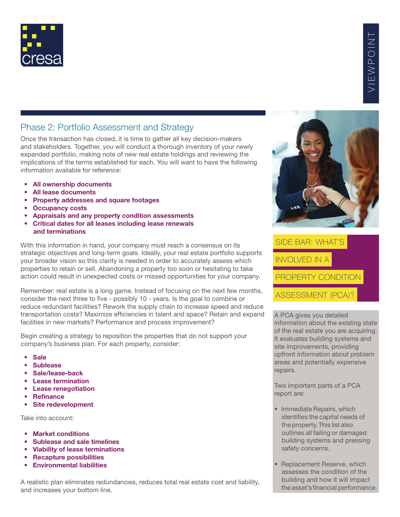

#### Phase 2: Portfolio Assessment and Strategy

Once the transaction has closed, it is time to gather all key decision-makers and stakeholders. Together, you will conduct a thorough inventory of your newly expanded portfolio, making note of new real estate holdings and reviewing the implications of the terms established for each. You will want to have the following information available for reference:

- **All ownership documents**
- **All lease documents**
- **Property addresses and square footages**
- **Occupancy costs**
- **Appraisals and any property condition assessments**
- **Critical dates for all leases including lease renewals and terminations**

With this information in hand, your company must reach a consensus on its strategic objectives and long-term goals. Ideally, your real estate portfolio supports your broader vision so this clarity is needed in order to accurately assess which properties to retain or sell. Abandoning a property too soon or hesitating to take action could result in unexpected costs or missed opportunities for your company.

Remember: real estate is a long game. Instead of focusing on the next few months, consider the next three to five - possibly 10 - years. Is the goal to combine or reduce redundant facilities? Rework the supply chain to increase speed and reduce transportation costs? Maximize efficiencies in talent and space? Retain and expand facilities in new markets? Performance and process improvement?

Begin creating a strategy to reposition the properties that do not support your company's business plan. For each property, consider:

- **Sale**
- **Sublease**
- **Sale/lease-back**
- **Lease termination**
- **Lease renegotiation**
- **Refinance**
- **Site redevelopment**

Take into account:

- **Market conditions**
- **Sublease and sale timelines**
- **Viability of lease terminations**
- **Recapture possibilities**
- **Environmental liabilities**

A realistic plan eliminates redundancies, reduces total real estate cost and liability, and increases your bottom line.



 SIDE BAR: WHAT'S INVOLVED IN A PROPERTY CONDITION ASSESSMENT (PCA)?

A PCA gives you detailed information about the existing state of the real estate you are acquiring. It evaluates building systems and site improvements, providing upfront information about problem areas and potentially expensive repairs.

Two important parts of a PCA report are:

- Immediate Repairs, which identifies the capital needs of the property. This list also outlines all failing or damaged building systems and pressing safety concerns.
- Replacement Reserve, which assesses the condition of the building and how it will impact the asset's financial performance.